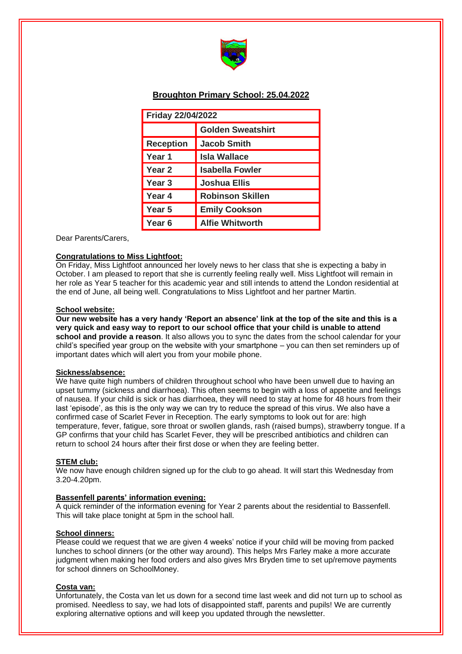

# **Broughton Primary School: 25.04.2022**

| <b>Friday 22/04/2022</b> |                          |
|--------------------------|--------------------------|
|                          | <b>Golden Sweatshirt</b> |
| <b>Reception</b>         | <b>Jacob Smith</b>       |
| Year 1                   | <b>Isla Wallace</b>      |
| Year 2                   | <b>Isabella Fowler</b>   |
| Year <sub>3</sub>        | <b>Joshua Ellis</b>      |
| Year 4                   | <b>Robinson Skillen</b>  |
| Year 5                   | <b>Emily Cookson</b>     |
| Year <sub>6</sub>        | <b>Alfie Whitworth</b>   |

Dear Parents/Carers,

## **Congratulations to Miss Lightfoot:**

On Friday, Miss Lightfoot announced her lovely news to her class that she is expecting a baby in October. I am pleased to report that she is currently feeling really well. Miss Lightfoot will remain in her role as Year 5 teacher for this academic year and still intends to attend the London residential at the end of June, all being well. Congratulations to Miss Lightfoot and her partner Martin.

### **School website:**

**Our new website has a very handy 'Report an absence' link at the top of the site and this is a very quick and easy way to report to our school office that your child is unable to attend school and provide a reason**. It also allows you to sync the dates from the school calendar for your child's specified year group on the website with your smartphone – you can then set reminders up of important dates which will alert you from your mobile phone.

#### **Sickness/absence:**

We have quite high numbers of children throughout school who have been unwell due to having an upset tummy (sickness and diarrhoea). This often seems to begin with a loss of appetite and feelings of nausea. If your child is sick or has diarrhoea, they will need to stay at home for 48 hours from their last 'episode', as this is the only way we can try to reduce the spread of this virus. We also have a confirmed case of Scarlet Fever in Reception. The early symptoms to look out for are: high temperature, fever, fatigue, sore throat or swollen glands, rash (raised bumps), strawberry tongue. If a GP confirms that your child has Scarlet Fever, they will be prescribed antibiotics and children can return to school 24 hours after their first dose or when they are feeling better.

#### **STEM club:**

We now have enough children signed up for the club to go ahead. It will start this Wednesday from 3.20-4.20pm.

#### **Bassenfell parents' information evening:**

A quick reminder of the information evening for Year 2 parents about the residential to Bassenfell. This will take place tonight at 5pm in the school hall.

#### **School dinners:**

Please could we request that we are given 4 weeks' notice if your child will be moving from packed lunches to school dinners (or the other way around). This helps Mrs Farley make a more accurate judgment when making her food orders and also gives Mrs Bryden time to set up/remove payments for school dinners on SchoolMoney.

## **Costa van:**

Unfortunately, the Costa van let us down for a second time last week and did not turn up to school as promised. Needless to say, we had lots of disappointed staff, parents and pupils! We are currently exploring alternative options and will keep you updated through the newsletter.